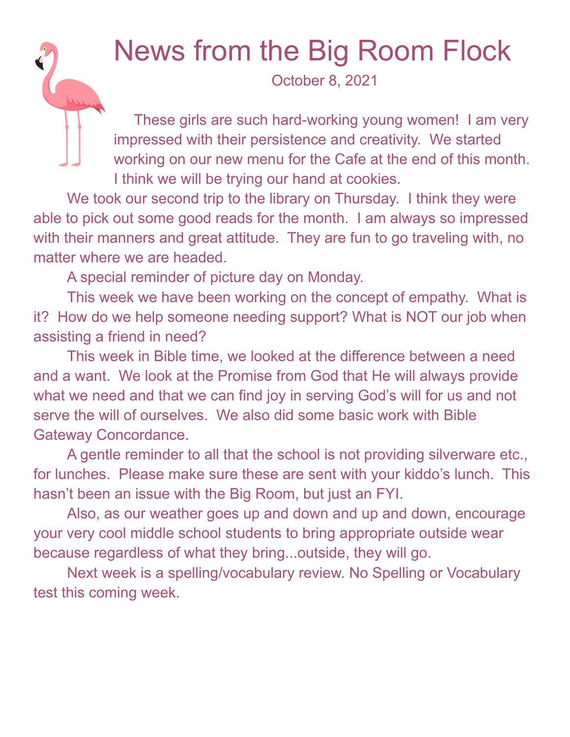## News from the Big Room Flock

October 8, 2021

These girls are such hard-working young women! I am very impressed with their persistence and creativity. We started working on our new menu for the Cafe at the end of this month. I think we will be trying our hand at cookies.

We took our second trip to the library on Thursday. I think they were able to pick out some good reads for the month. I am always so impressed with their manners and great attitude. They are fun to go traveling with, no matter where we are headed.

A special reminder of picture day on Monday.

This week we have been working on the concept of empathy. What is it? How do we help someone needing support? What is NOT our job when assisting a friend in need?

This week in Bible time, we looked at the difference between a need and a want. We look at the Promise from God that He will always provide what we need and that we can find joy in serving God's will for us and not serve the will of ourselves. We also did some basic work with Bible Gateway Concordance.

A gentle reminder to all that the school is not providing silverware etc., for lunches. Please make sure these are sent with your kiddo's lunch. This hasn't been an issue with the Big Room, but just an FYI.

Also, as our weather goes up and down and up and down, encourage your very cool middle school students to bring appropriate outside wear because regardless of what they bring...outside, they will go.

Next week is a spelling/vocabulary review. No Spelling or Vocabulary test this coming week.